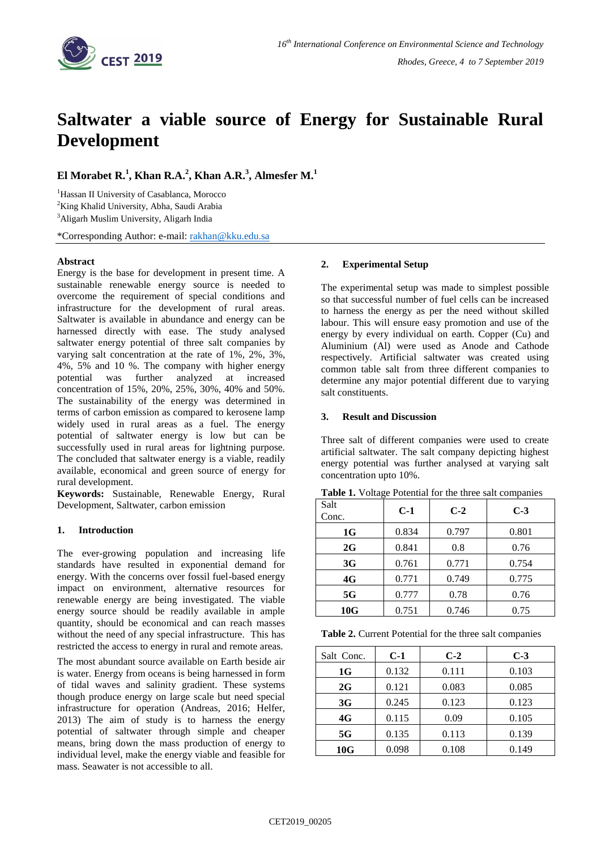

# **Saltwater a viable source of Energy for Sustainable Rural Development**

**El Morabet R.<sup>1</sup> , Khan R.A.<sup>2</sup> , Khan A.R.<sup>3</sup> , Almesfer M.<sup>1</sup>**

<sup>1</sup>Hassan II University of Casablanca, Morocco <sup>2</sup>King Khalid University, Abha, Saudi Arabia

<sup>3</sup>Aligarh Muslim University, Aligarh India

\*Corresponding Author: e-mail: [rakhan@kku.edu.sa](mailto:rakhan@kku.edu.sa) 

## **Abstract**

Energy is the base for development in present time. A sustainable renewable energy source is needed to overcome the requirement of special conditions and infrastructure for the development of rural areas. Saltwater is available in abundance and energy can be harnessed directly with ease. The study analysed saltwater energy potential of three salt companies by varying salt concentration at the rate of 1%, 2%, 3%, 4%, 5% and 10 %. The company with higher energy potential was further analyzed at increased concentration of 15%, 20%, 25%, 30%, 40% and 50%. The sustainability of the energy was determined in terms of carbon emission as compared to kerosene lamp widely used in rural areas as a fuel. The energy potential of saltwater energy is low but can be successfully used in rural areas for lightning purpose. The concluded that saltwater energy is a viable, readily available, economical and green source of energy for rural development.

**Keywords:** Sustainable, Renewable Energy, Rural Development, Saltwater, carbon emission

#### **1. Introduction**

The ever-growing population and increasing life standards have resulted in exponential demand for energy. With the concerns over fossil fuel-based energy impact on environment, alternative resources for renewable energy are being investigated. The viable energy source should be readily available in ample quantity, should be economical and can reach masses without the need of any special infrastructure. This has restricted the access to energy in rural and remote areas.

The most abundant source available on Earth beside air is water. Energy from oceans is being harnessed in form of tidal waves and salinity gradient. These systems though produce energy on large scale but need special infrastructure for operation (Andreas, 2016; Helfer, 2013) The aim of study is to harness the energy potential of saltwater through simple and cheaper means, bring down the mass production of energy to individual level, make the energy viable and feasible for mass. Seawater is not accessible to all.

#### **2. Experimental Setup**

The experimental setup was made to simplest possible so that successful number of fuel cells can be increased to harness the energy as per the need without skilled labour. This will ensure easy promotion and use of the energy by every individual on earth. Copper (Cu) and Aluminium (Al) were used as Anode and Cathode respectively. Artificial saltwater was created using common table salt from three different companies to determine any major potential different due to varying salt constituents.

#### **3. Result and Discussion**

Three salt of different companies were used to create artificial saltwater. The salt company depicting highest energy potential was further analysed at varying salt concentration upto 10%.

| Salt<br>Conc. | $C-1$ | $C-2$ | $C-3$ |
|---------------|-------|-------|-------|
| 1G            | 0.834 | 0.797 | 0.801 |
| 2G            | 0.841 | 0.8   | 0.76  |
| 3G            | 0.761 | 0.771 | 0.754 |
| 4G            | 0.771 | 0.749 | 0.775 |
| 5G            | 0.777 | 0.78  | 0.76  |
| 10G           | 0.751 | 0.746 | 0.75  |

**Table 1.** Voltage Potential for the three salt companies

**Table 2.** Current Potential for the three salt companies

| Salt Conc. | $C-1$ | $C-2$ | $C-3$ |
|------------|-------|-------|-------|
| 1G         | 0.132 | 0.111 | 0.103 |
| 2G         | 0.121 | 0.083 | 0.085 |
| 3G         | 0.245 | 0.123 | 0.123 |
| 4G         | 0.115 | 0.09  | 0.105 |
| 5G         | 0.135 | 0.113 | 0.139 |
| 10G        | 0.098 | 0.108 | 0.149 |